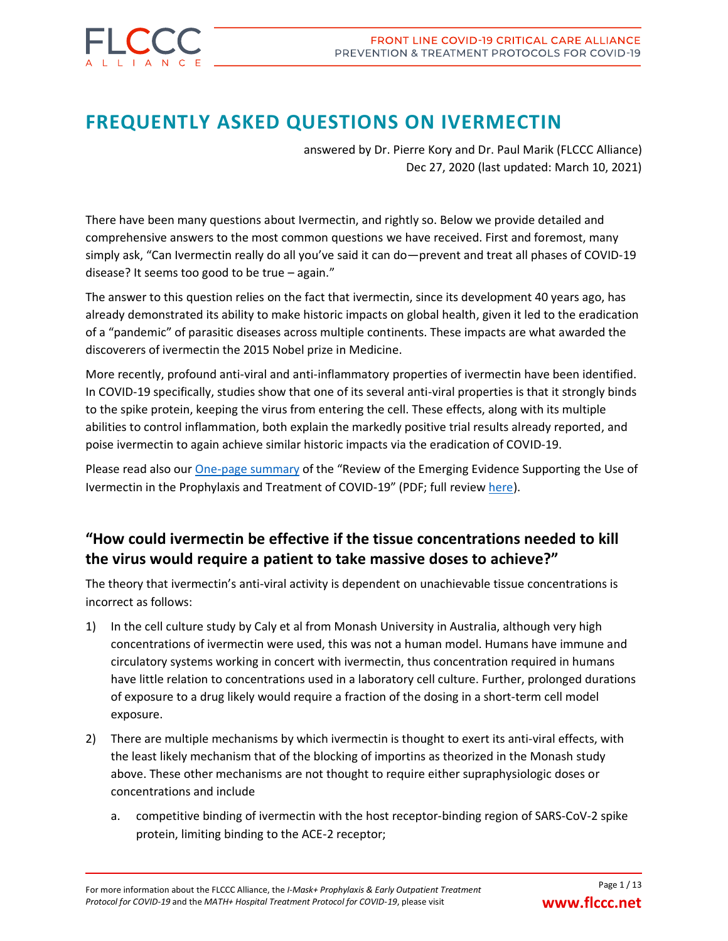# **FREQUENTLY ASKED QUESTIONS ON IVERMECTIN**

answered by Dr. Pierre Kory and Dr. Paul Marik (FLCCC Alliance) Dec 27, 2020 (last updated: March 10, 2021)

There have been many questions about Ivermectin, and rightly so. Below we provide detailed and comprehensive answers to the most common questions we have received. First and foremost, many simply ask, "Can Ivermectin really do all you've said it can do—prevent and treat all phases of COVID-19 disease? It seems too good to be true – again."

The answer to this question relies on the fact that ivermectin, since its development 40 years ago, has already demonstrated its ability to make historic impacts on global health, given it led to the eradication of a "pandemic" of parasitic diseases across multiple continents. These impacts are what awarded the discoverers of ivermectin the 2015 Nobel prize in Medicine.

More recently, profound anti-viral and anti-inflammatory properties of ivermectin have been identified. In COVID-19 specifically, studies show that one of its several anti-viral properties is that it strongly binds to the spike protein, keeping the virus from entering the cell. These effects, along with its multiple abilities to control inflammation, both explain the markedly positive trial results already reported, and poise ivermectin to again achieve similar historic impacts via the eradication of COVID-19.

Please read also our [One-page summary](https://covid19criticalcare.com/one-page-summary-of-the-clinical-trials-evidence-for-ivermectin-in-covid-19/) of the "Review of the Emerging Evidence Supporting the Use of Ivermectin in the Prophylaxis and Treatment of COVID-19" (PDF; full review [here\)](https://covid19criticalcare.com/flccc-ivermectin-in-the-prophylaxis-and-treatment-of-covid-19/).

### **"How could ivermectin be effective if the tissue concentrations needed to kill the virus would require a patient to take massive doses to achieve?"**

The theory that ivermectin's anti-viral activity is dependent on unachievable tissue concentrations is incorrect as follows:

- 1) In the cell culture study by Caly et al from Monash University in Australia, although very high concentrations of ivermectin were used, this was not a human model. Humans have immune and circulatory systems working in concert with ivermectin, thus concentration required in humans have little relation to concentrations used in a laboratory cell culture. Further, prolonged durations of exposure to a drug likely would require a fraction of the dosing in a short-term cell model exposure.
- 2) There are multiple mechanisms by which ivermectin is thought to exert its anti-viral effects, with the least likely mechanism that of the blocking of importins as theorized in the Monash study above. These other mechanisms are not thought to require either supraphysiologic doses or concentrations and include
	- a. competitive binding of ivermectin with the host receptor-binding region of SARS-CoV-2 spike protein, limiting binding to the ACE-2 receptor;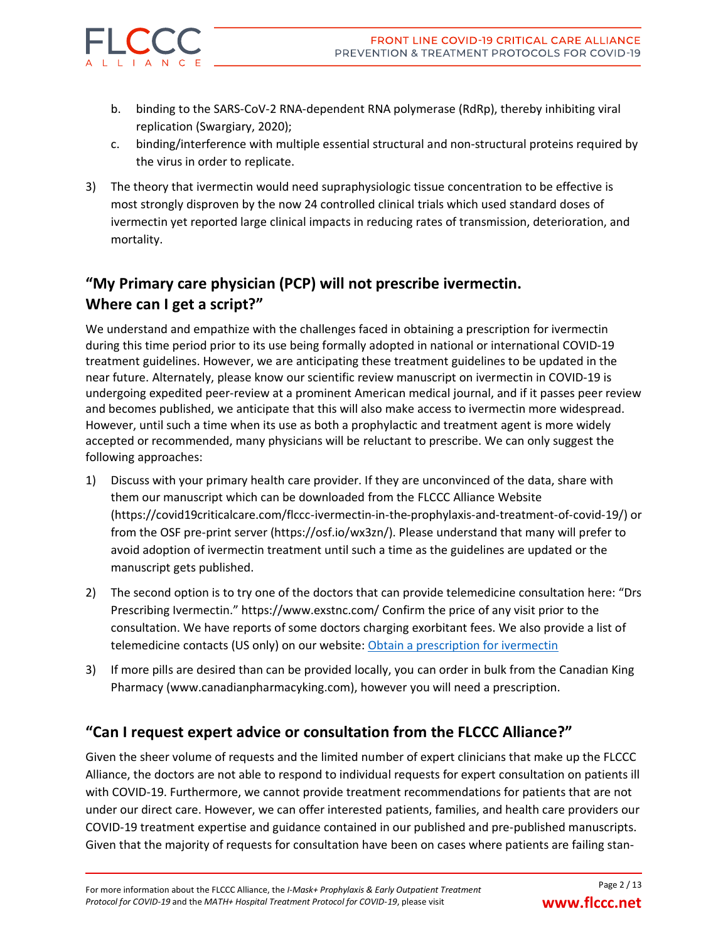

- b. binding to the SARS-CoV-2 RNA-dependent RNA polymerase (RdRp), thereby inhibiting viral replication (Swargiary, 2020);
- c. binding/interference with multiple essential structural and non-structural proteins required by the virus in order to replicate.
- 3) The theory that ivermectin would need supraphysiologic tissue concentration to be effective is most strongly disproven by the now 24 controlled clinical trials which used standard doses of ivermectin yet reported large clinical impacts in reducing rates of transmission, deterioration, and mortality.

# **"My Primary care physician (PCP) will not prescribe ivermectin. Where can I get a script?"**

We understand and empathize with the challenges faced in obtaining a prescription for ivermectin during this time period prior to its use being formally adopted in national or international COVID-19 treatment guidelines. However, we are anticipating these treatment guidelines to be updated in the near future. Alternately, please know our scientific review manuscript on ivermectin in COVID-19 is undergoing expedited peer-review at a prominent American medical journal, and if it passes peer review and becomes published, we anticipate that this will also make access to ivermectin more widespread. However, until such a time when its use as both a prophylactic and treatment agent is more widely accepted or recommended, many physicians will be reluctant to prescribe. We can only suggest the following approaches:

- 1) Discuss with your primary health care provider. If they are unconvinced of the data, share with them our manuscript which can be downloaded from the FLCCC Alliance Website (https://covid19criticalcare.com/flccc-ivermectin-in-the-prophylaxis-and-treatment-of-covid-19/) or from the OSF pre-print server (https://osf.io/wx3zn/). Please understand that many will prefer to avoid adoption of ivermectin treatment until such a time as the guidelines are updated or the manuscript gets published.
- 2) The second option is to try one of the doctors that can provide telemedicine consultation here: "Drs Prescribing Ivermectin." <https://www.exstnc.com/> Confirm the price of any visit prior to the consultation. We have reports of some doctors charging exorbitant fees. We also provide a list of telemedicine contacts (US only) on our website[: Obtain a prescription for ivermectin](https://covid19criticalcare.com/i-mask-prophylaxis-treatment-protocol/take-action-and-share-the-infos-with-your-doctor/#ivdoctors)
- 3) If more pills are desired than can be provided locally, you can order in bulk from the Canadian King Pharmacy (www.canadianpharmacyking.com), however you will need a prescription.

### **"Can I request expert advice or consultation from the FLCCC Alliance?"**

Given the sheer volume of requests and the limited number of expert clinicians that make up the FLCCC Alliance, the doctors are not able to respond to individual requests for expert consultation on patients ill with COVID-19. Furthermore, we cannot provide treatment recommendations for patients that are not under our direct care. However, we can offer interested patients, families, and health care providers our COVID-19 treatment expertise and guidance contained in our published and pre-published manuscripts. Given that the majority of requests for consultation have been on cases where patients are failing stan-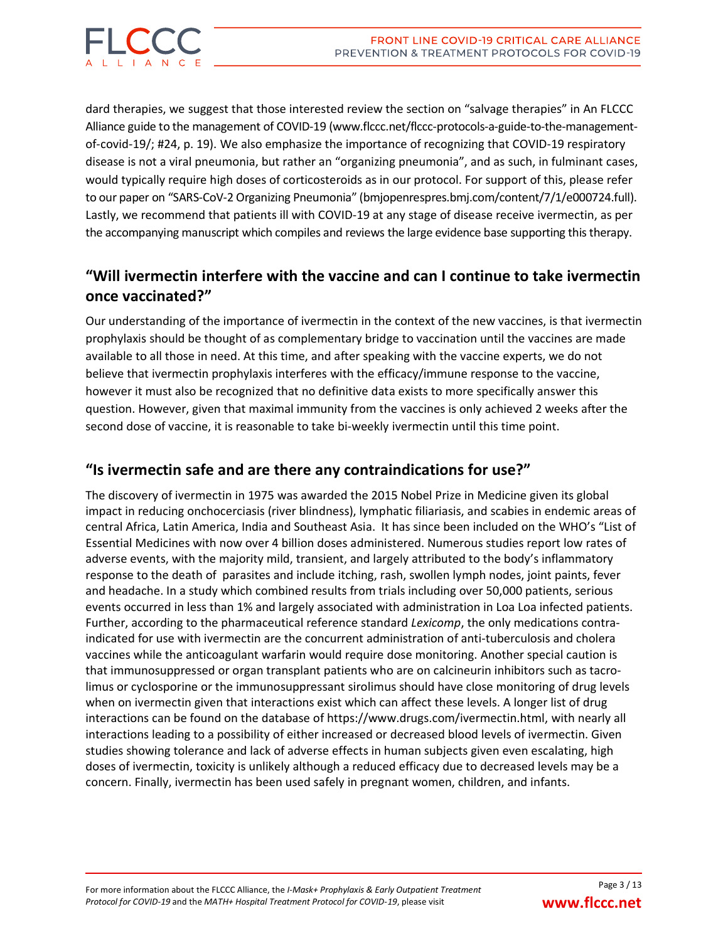

dard therapies, we suggest that those interested review the section on "salvage therapies" in An FLCCC Alliance guide to the management of COVID-19 (www.flccc.net/flccc-protocols-a-guide-to-the-managementof-covid-19/; #24, p. 19). We also emphasize the importance of recognizing that COVID-19 respiratory disease is not a viral pneumonia, but rather an "organizing pneumonia", and as such, in fulminant cases, would typically require high doses of corticosteroids as in our protocol. For support of this, please refer to our paper on "SARS-CoV-2 Organizing Pneumonia" (bmjopenrespres.bmj.com/content/7/1/e000724.full). Lastly, we recommend that patients ill with COVID-19 at any stage of disease receive ivermectin, as per the accompanying manuscript which compiles and reviews the large evidence base supporting this therapy.

## **"Will ivermectin interfere with the vaccine and can I continue to take ivermectin once vaccinated?"**

Our understanding of the importance of ivermectin in the context of the new vaccines, is that ivermectin prophylaxis should be thought of as complementary bridge to vaccination until the vaccines are made available to all those in need. At this time, and after speaking with the vaccine experts, we do not believe that ivermectin prophylaxis interferes with the efficacy/immune response to the vaccine, however it must also be recognized that no definitive data exists to more specifically answer this question. However, given that maximal immunity from the vaccines is only achieved 2 weeks after the second dose of vaccine, it is reasonable to take bi-weekly ivermectin until this time point.

### **"Is ivermectin safe and are there any contraindications for use?"**

The discovery of ivermectin in 1975 was awarded the 2015 Nobel Prize in Medicine given its global impact in reducing onchocerciasis (river blindness), lymphatic filiariasis, and scabies in endemic areas of central Africa, Latin America, India and Southeast Asia. It has since been included on the WHO's "List of Essential Medicines with now over 4 billion doses administered. Numerous studies report low rates of adverse events, with the majority mild, transient, and largely attributed to the body's inflammatory response to the death of parasites and include itching, rash, swollen lymph nodes, joint paints, fever and headache. In a study which combined results from trials including over 50,000 patients, serious events occurred in less than 1% and largely associated with administration in Loa Loa infected patients. Further, according to the pharmaceutical reference standard *Lexicomp*, the only medications contraindicated for use with ivermectin are the concurrent administration of anti-tuberculosis and cholera vaccines while the anticoagulant warfarin would require dose monitoring. Another special caution is that immunosuppressed or organ transplant patients who are on calcineurin inhibitors such as tacrolimus or cyclosporine or the immunosuppressant sirolimus should have close monitoring of drug levels when on ivermectin given that interactions exist which can affect these levels. A longer list of drug interactions can be found on the database of https://www.drugs.com/ivermectin.html, with nearly all interactions leading to a possibility of either increased or decreased blood levels of ivermectin. Given studies showing tolerance and lack of adverse effects in human subjects given even escalating, high doses of ivermectin, toxicity is unlikely although a reduced efficacy due to decreased levels may be a concern. Finally, ivermectin has been used safely in pregnant women, children, and infants.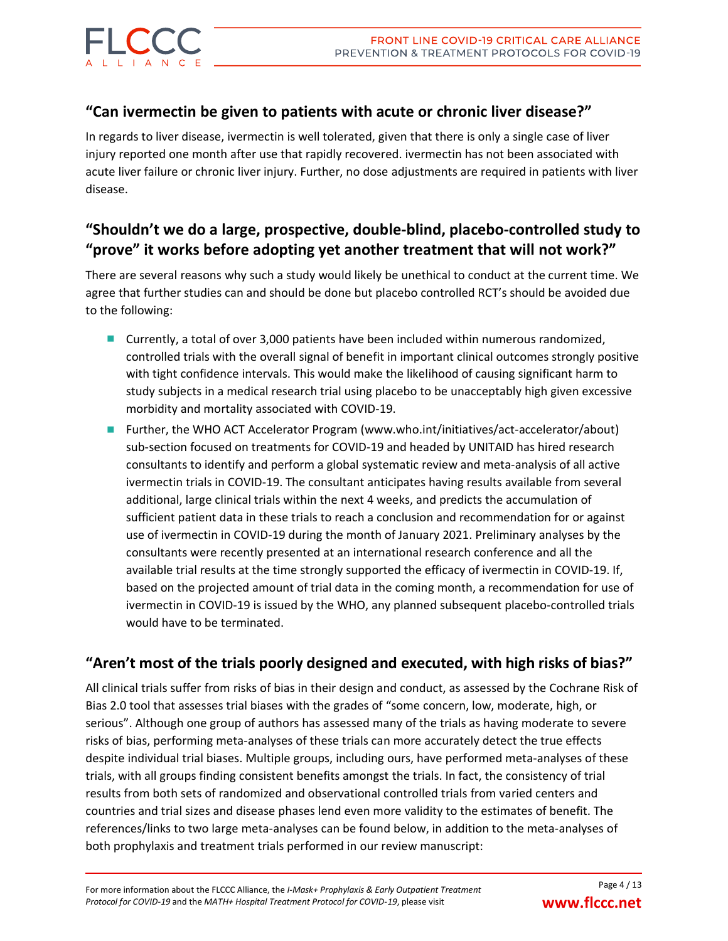

### **"Can ivermectin be given to patients with acute or chronic liver disease?"**

In regards to liver disease, ivermectin is well tolerated, given that there is only a single case of liver injury reported one month after use that rapidly recovered. ivermectin has not been associated with acute liver failure or chronic liver injury. Further, no dose adjustments are required in patients with liver disease.

# **"Shouldn't we do a large, prospective, double-blind, placebo-controlled study to "prove" it works before adopting yet another treatment that will not work?"**

There are several reasons why such a study would likely be unethical to conduct at the current time. We agree that further studies can and should be done but placebo controlled RCT's should be avoided due to the following:

- Currently, a total of over 3,000 patients have been included within numerous randomized, controlled trials with the overall signal of benefit in important clinical outcomes strongly positive with tight confidence intervals. This would make the likelihood of causing significant harm to study subjects in a medical research trial using placebo to be unacceptably high given excessive morbidity and mortality associated with COVID-19.
- Further, the WHO ACT Accelerator Program [\(www.who.int/initiatives/act-accelerator/about\)](https://www.who.int/initiatives/act-accelerator/about) sub-section focused on treatments for COVID-19 and headed by UNITAID has hired research consultants to identify and perform a global systematic review and meta-analysis of all active ivermectin trials in COVID-19. The consultant anticipates having results available from several additional, large clinical trials within the next 4 weeks, and predicts the accumulation of sufficient patient data in these trials to reach a conclusion and recommendation for or against use of ivermectin in COVID-19 during the month of January 2021. Preliminary analyses by the consultants were recently presented at an international research conference and all the available trial results at the time strongly supported the efficacy of ivermectin in COVID-19. If, based on the projected amount of trial data in the coming month, a recommendation for use of ivermectin in COVID-19 is issued by the WHO, any planned subsequent placebo-controlled trials would have to be terminated.

### **"Aren't most of the trials poorly designed and executed, with high risks of bias?"**

All clinical trials suffer from risks of bias in their design and conduct, as assessed by the Cochrane Risk of Bias 2.0 tool that assesses trial biases with the grades of "some concern, low, moderate, high, or serious". Although one group of authors has assessed many of the trials as having moderate to severe risks of bias, performing meta-analyses of these trials can more accurately detect the true effects despite individual trial biases. Multiple groups, including ours, have performed meta-analyses of these trials, with all groups finding consistent benefits amongst the trials. In fact, the consistency of trial results from both sets of randomized and observational controlled trials from varied centers and countries and trial sizes and disease phases lend even more validity to the estimates of benefit. The references/links to two large meta-analyses can be found below, in addition to the meta-analyses of both prophylaxis and treatment trials performed in our review manuscript: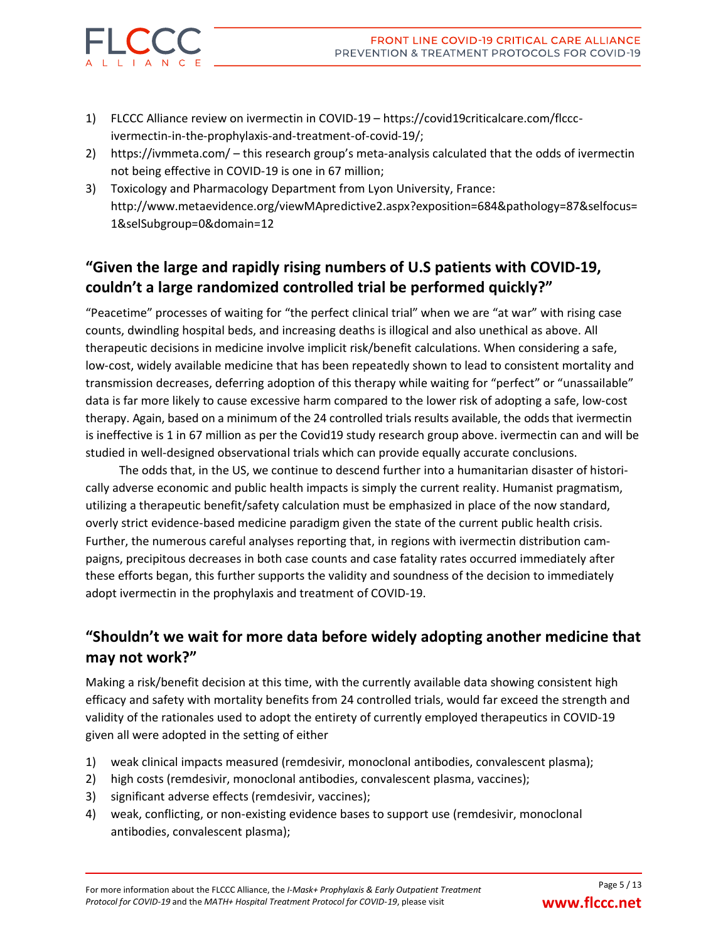- 1) FLCCC Alliance review on ivermectin in COVID-19 https://covid19criticalcare.com/flcccivermectin-in-the-prophylaxis-and-treatment-of-covid-19/;
- 2) https://ivmmeta.com/ this research group's meta-analysis calculated that the odds of ivermectin not being effective in COVID-19 is one in 67 million;
- 3) Toxicology and Pharmacology Department from Lyon University, France: http://www.metaevidence.org/viewMApredictive2.aspx?exposition=684&pathology=87&selfocus= 1&selSubgroup=0&domain=12

# **"Given the large and rapidly rising numbers of U.S patients with COVID-19, couldn't a large randomized controlled trial be performed quickly?"**

"Peacetime" processes of waiting for "the perfect clinical trial" when we are "at war" with rising case counts, dwindling hospital beds, and increasing deaths is illogical and also unethical as above. All therapeutic decisions in medicine involve implicit risk/benefit calculations. When considering a safe, low-cost, widely available medicine that has been repeatedly shown to lead to consistent mortality and transmission decreases, deferring adoption of this therapy while waiting for "perfect" or "unassailable" data is far more likely to cause excessive harm compared to the lower risk of adopting a safe, low-cost therapy. Again, based on a minimum of the 24 controlled trials results available, the odds that ivermectin is ineffective is 1 in 67 million as per the Covid19 study research group above. ivermectin can and will be studied in well-designed observational trials which can provide equally accurate conclusions.

The odds that, in the US, we continue to descend further into a humanitarian disaster of historically adverse economic and public health impacts is simply the current reality. Humanist pragmatism, utilizing a therapeutic benefit/safety calculation must be emphasized in place of the now standard, overly strict evidence-based medicine paradigm given the state of the current public health crisis. Further, the numerous careful analyses reporting that, in regions with ivermectin distribution campaigns, precipitous decreases in both case counts and case fatality rates occurred immediately after these efforts began, this further supports the validity and soundness of the decision to immediately adopt ivermectin in the prophylaxis and treatment of COVID-19.

### **"Shouldn't we wait for more data before widely adopting another medicine that may not work?"**

Making a risk/benefit decision at this time, with the currently available data showing consistent high efficacy and safety with mortality benefits from 24 controlled trials, would far exceed the strength and validity of the rationales used to adopt the entirety of currently employed therapeutics in COVID-19 given all were adopted in the setting of either

- 1) weak clinical impacts measured (remdesivir, monoclonal antibodies, convalescent plasma);
- 2) high costs (remdesivir, monoclonal antibodies, convalescent plasma, vaccines);
- 3) significant adverse effects (remdesivir, vaccines);
- 4) weak, conflicting, or non-existing evidence bases to support use (remdesivir, monoclonal antibodies, convalescent plasma);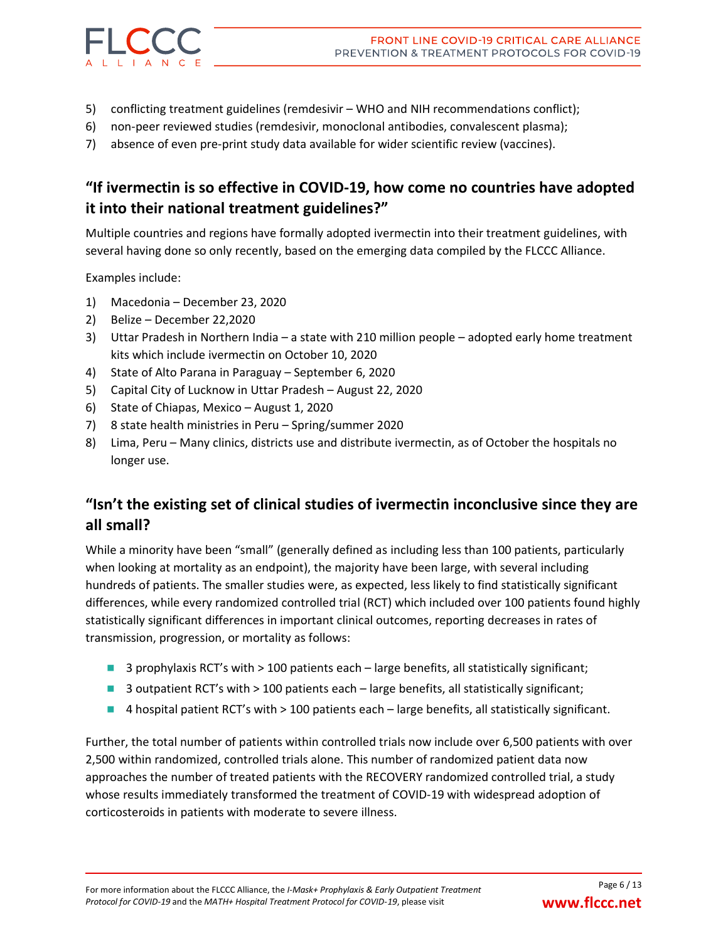

- 5) conflicting treatment guidelines (remdesivir WHO and NIH recommendations conflict);
- 6) non-peer reviewed studies (remdesivir, monoclonal antibodies, convalescent plasma);
- 7) absence of even pre-print study data available for wider scientific review (vaccines).

### **"If ivermectin is so effective in COVID-19, how come no countries have adopted it into their national treatment guidelines?"**

Multiple countries and regions have formally adopted ivermectin into their treatment guidelines, with several having done so only recently, based on the emerging data compiled by the FLCCC Alliance.

Examples include:

- 1) Macedonia December 23, 2020
- 2) Belize December 22,2020
- 3) Uttar Pradesh in Northern India a state with 210 million people adopted early home treatment kits which include ivermectin on October 10, 2020
- 4) State of Alto Parana in Paraguay September 6, 2020
- 5) Capital City of Lucknow in Uttar Pradesh August 22, 2020
- 6) State of Chiapas, Mexico August 1, 2020
- 7) 8 state health ministries in Peru Spring/summer 2020
- 8) Lima, Peru Many clinics, districts use and distribute ivermectin, as of October the hospitals no longer use.

# **"Isn't the existing set of clinical studies of ivermectin inconclusive since they are all small?**

While a minority have been "small" (generally defined as including less than 100 patients, particularly when looking at mortality as an endpoint), the majority have been large, with several including hundreds of patients. The smaller studies were, as expected, less likely to find statistically significant differences, while every randomized controlled trial (RCT) which included over 100 patients found highly statistically significant differences in important clinical outcomes, reporting decreases in rates of transmission, progression, or mortality as follows:

- $\blacksquare$  3 prophylaxis RCT's with  $>$  100 patients each large benefits, all statistically significant;
- 3 outpatient RCT's with > 100 patients each large benefits, all statistically significant;
- 4 hospital patient RCT's with > 100 patients each large benefits, all statistically significant.

Further, the total number of patients within controlled trials now include over 6,500 patients with over 2,500 within randomized, controlled trials alone. This number of randomized patient data now approaches the number of treated patients with the RECOVERY randomized controlled trial, a study whose results immediately transformed the treatment of COVID-19 with widespread adoption of corticosteroids in patients with moderate to severe illness.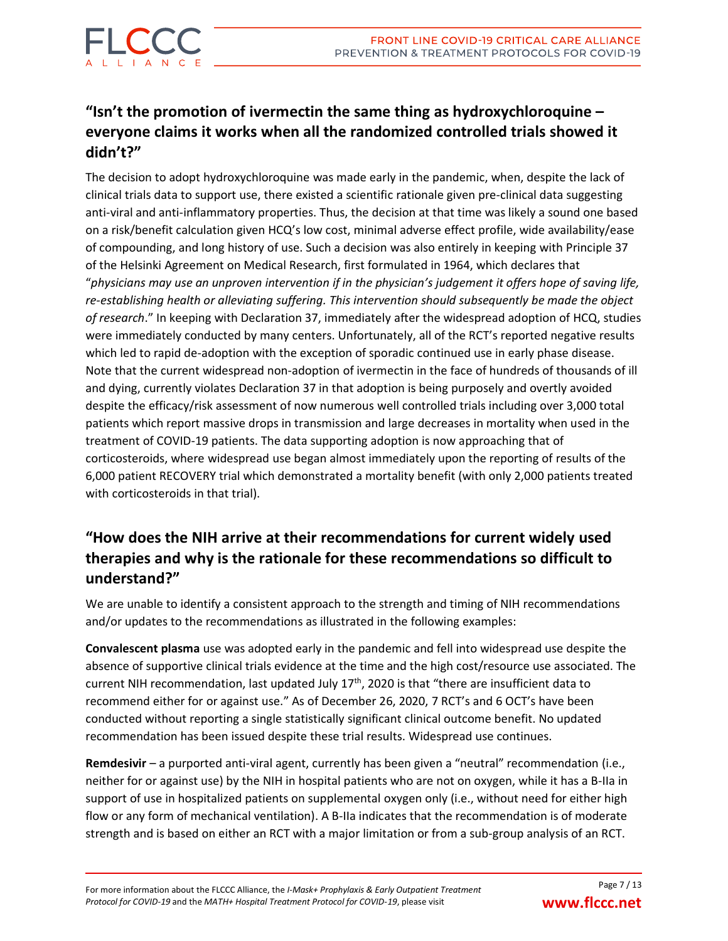# **"Isn't the promotion of ivermectin the same thing as hydroxychloroquine – everyone claims it works when all the randomized controlled trials showed it didn't?"**

The decision to adopt hydroxychloroquine was made early in the pandemic, when, despite the lack of clinical trials data to support use, there existed a scientific rationale given pre-clinical data suggesting anti-viral and anti-inflammatory properties. Thus, the decision at that time was likely a sound one based on a risk/benefit calculation given HCQ's low cost, minimal adverse effect profile, wide availability/ease of compounding, and long history of use. Such a decision was also entirely in keeping with Principle 37 of the Helsinki Agreement on Medical Research, first formulated in 1964, which declares that "physicians may use an unproven intervention if in the physician's judgement it offers hope of saving life, *re-establishing health or alleviating suffering. This intervention should subsequently be made the object of research*." In keeping with Declaration 37, immediately after the widespread adoption of HCQ, studies were immediately conducted by many centers. Unfortunately, all of the RCT's reported negative results which led to rapid de-adoption with the exception of sporadic continued use in early phase disease. Note that the current widespread non-adoption of ivermectin in the face of hundreds of thousands of ill and dying, currently violates Declaration 37 in that adoption is being purposely and overtly avoided despite the efficacy/risk assessment of now numerous well controlled trials including over 3,000 total patients which report massive drops in transmission and large decreases in mortality when used in the treatment of COVID-19 patients. The data supporting adoption is now approaching that of corticosteroids, where widespread use began almost immediately upon the reporting of results of the 6,000 patient RECOVERY trial which demonstrated a mortality benefit (with only 2,000 patients treated with corticosteroids in that trial).

# **"How does the NIH arrive at their recommendations for current widely used therapies and why is the rationale for these recommendations so difficult to understand?"**

We are unable to identify a consistent approach to the strength and timing of NIH recommendations and/or updates to the recommendations as illustrated in the following examples:

**Convalescent plasma** use was adopted early in the pandemic and fell into widespread use despite the absence of supportive clinical trials evidence at the time and the high cost/resource use associated. The current NIH recommendation, last updated July  $17<sup>th</sup>$ , 2020 is that "there are insufficient data to recommend either for or against use." As of December 26, 2020, 7 RCT's and 6 OCT's have been conducted without reporting a single statistically significant clinical outcome benefit. No updated recommendation has been issued despite these trial results. Widespread use continues.

**Remdesivir** – a purported anti-viral agent, currently has been given a "neutral" recommendation (i.e., neither for or against use) by the NIH in hospital patients who are not on oxygen, while it has a B-IIa in support of use in hospitalized patients on supplemental oxygen only (i.e., without need for either high flow or any form of mechanical ventilation). A B-IIa indicates that the recommendation is of moderate strength and is based on either an RCT with a major limitation or from a sub-group analysis of an RCT.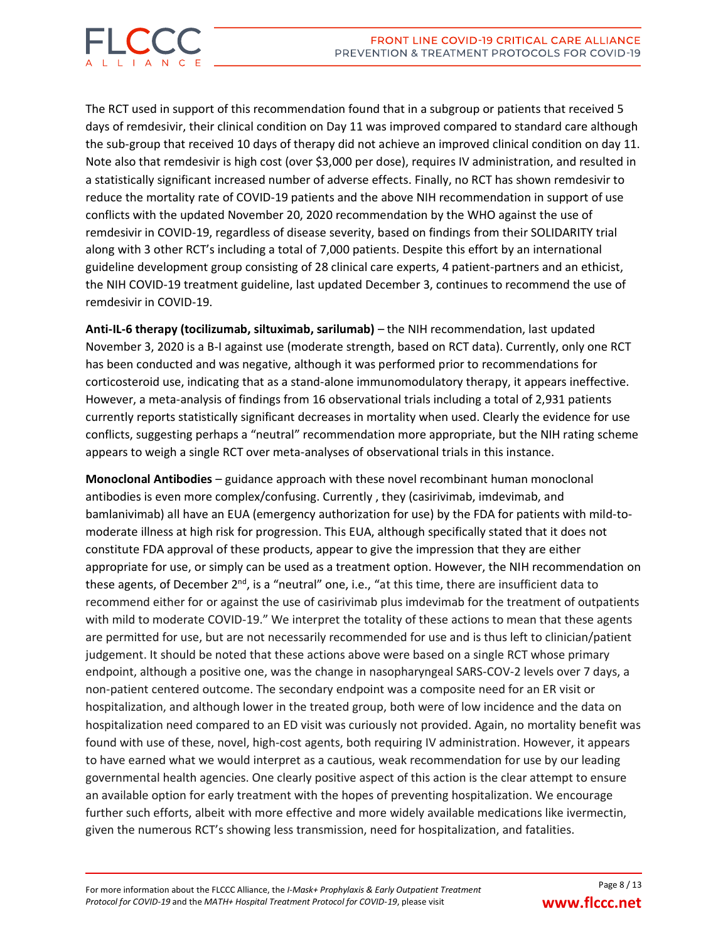The RCT used in support of this recommendation found that in a subgroup or patients that received 5 days of remdesivir, their clinical condition on Day 11 was improved compared to standard care although the sub-group that received 10 days of therapy did not achieve an improved clinical condition on day 11. Note also that remdesivir is high cost (over \$3,000 per dose), requires IV administration, and resulted in a statistically significant increased number of adverse effects. Finally, no RCT has shown remdesivir to reduce the mortality rate of COVID-19 patients and the above NIH recommendation in support of use conflicts with the updated November 20, 2020 recommendation by the WHO against the use of remdesivir in COVID-19, regardless of disease severity, based on findings from their SOLIDARITY trial along with 3 other RCT's including a total of 7,000 patients. Despite this effort by an international guideline development group consisting of 28 clinical care experts, 4 patient-partners and an ethicist, the NIH COVID-19 treatment guideline, last updated December 3, continues to recommend the use of remdesivir in COVID-19.

**Anti-IL-6 therapy (tocilizumab, siltuximab, sarilumab)** – the NIH recommendation, last updated November 3, 2020 is a B-I against use (moderate strength, based on RCT data). Currently, only one RCT has been conducted and was negative, although it was performed prior to recommendations for corticosteroid use, indicating that as a stand-alone immunomodulatory therapy, it appears ineffective. However, a meta-analysis of findings from 16 observational trials including a total of 2,931 patients currently reports statistically significant decreases in mortality when used. Clearly the evidence for use conflicts, suggesting perhaps a "neutral" recommendation more appropriate, but the NIH rating scheme appears to weigh a single RCT over meta-analyses of observational trials in this instance.

**Monoclonal Antibodies** – guidance approach with these novel recombinant human monoclonal antibodies is even more complex/confusing. Currently , they (casirivimab, imdevimab, and bamlanivimab) all have an EUA (emergency authorization for use) by the FDA for patients with mild-tomoderate illness at high risk for progression. This EUA, although specifically stated that it does not constitute FDA approval of these products, appear to give the impression that they are either appropriate for use, or simply can be used as a treatment option. However, the NIH recommendation on these agents, of December 2<sup>nd</sup>, is a "neutral" one, i.e., "at this time, there are insufficient data to recommend either for or against the use of casirivimab plus imdevimab for the treatment of outpatients with mild to moderate COVID-19." We interpret the totality of these actions to mean that these agents are permitted for use, but are not necessarily recommended for use and is thus left to clinician/patient judgement. It should be noted that these actions above were based on a single RCT whose primary endpoint, although a positive one, was the change in nasopharyngeal SARS-COV-2 levels over 7 days, a non-patient centered outcome. The secondary endpoint was a composite need for an ER visit or hospitalization, and although lower in the treated group, both were of low incidence and the data on hospitalization need compared to an ED visit was curiously not provided. Again, no mortality benefit was found with use of these, novel, high-cost agents, both requiring IV administration. However, it appears to have earned what we would interpret as a cautious, weak recommendation for use by our leading governmental health agencies. One clearly positive aspect of this action is the clear attempt to ensure an available option for early treatment with the hopes of preventing hospitalization. We encourage further such efforts, albeit with more effective and more widely available medications like ivermectin, given the numerous RCT's showing less transmission, need for hospitalization, and fatalities.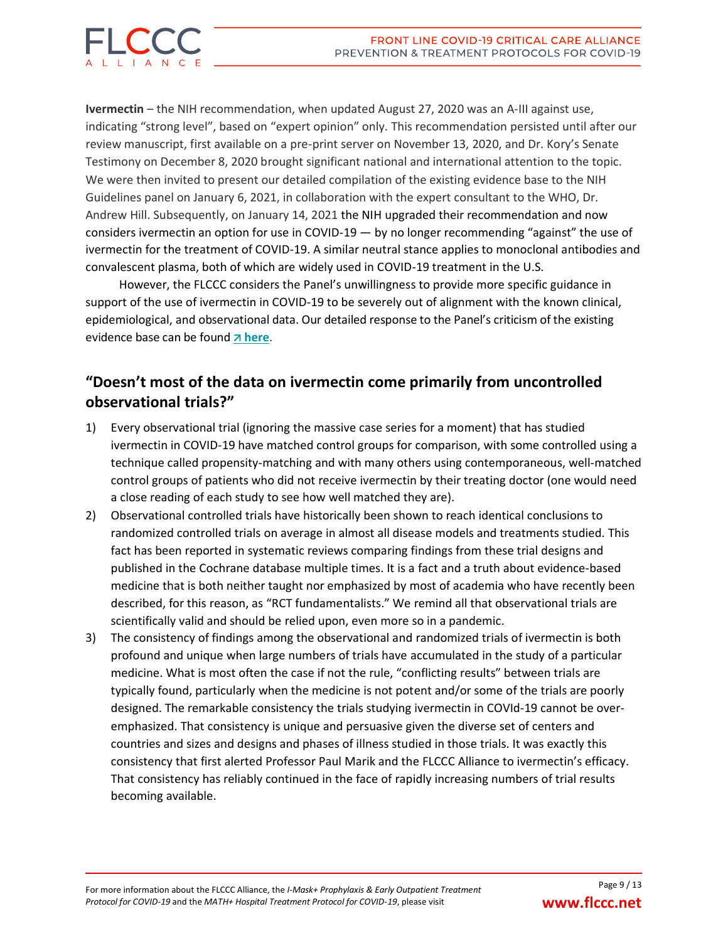

**Ivermectin** – the NIH recommendation, when updated August 27, 2020 was an A-III against use, indicating "strong level", based on "expert opinion" only. This recommendation persisted until after our review manuscript, first available on a pre-print server on November 13, 2020, and Dr. Kory's Senate Testimony on December 8, 2020 brought significant national and international attention to the topic. We were then invited to present our detailed compilation of the existing evidence base to the NIH Guidelines panel on January 6, 2021, in collaboration with the expert consultant to the WHO, Dr. Andrew Hill. Subsequently, on January 14, 2021 the NIH upgraded their recommendation and now considers ivermectin an option for use in COVID-19 — by no longer recommending "against" the use of ivermectin for the treatment of COVID-19. A similar neutral stance applies to monoclonal antibodies and convalescent plasma, both of which are widely used in COVID-19 treatment in the U.S.

However, the FLCCC considers the Panel's unwillingness to provide more specific guidance in support of the use of ivermectin in COVID-19 to be severely out of alignment with the known clinical, epidemiological, and observational data. Our detailed response to the Panel's criticism of the existing evidence base can be found **[here](https://covid19criticalcare.com/flccc-alliance-response-to-the-nih-guideline-committee-recommendation-on-ivermectin-use-in-covid19-2021-01-18/)**.

## **"Doesn't most of the data on ivermectin come primarily from uncontrolled observational trials?"**

- 1) Every observational trial (ignoring the massive case series for a moment) that has studied ivermectin in COVID-19 have matched control groups for comparison, with some controlled using a technique called propensity-matching and with many others using contemporaneous, well-matched control groups of patients who did not receive ivermectin by their treating doctor (one would need a close reading of each study to see how well matched they are).
- 2) Observational controlled trials have historically been shown to reach identical conclusions to randomized controlled trials on average in almost all disease models and treatments studied. This fact has been reported in systematic reviews comparing findings from these trial designs and published in the Cochrane database multiple times. It is a fact and a truth about evidence-based medicine that is both neither taught nor emphasized by most of academia who have recently been described, for this reason, as "RCT fundamentalists." We remind all that observational trials are scientifically valid and should be relied upon, even more so in a pandemic.
- 3) The consistency of findings among the observational and randomized trials of ivermectin is both profound and unique when large numbers of trials have accumulated in the study of a particular medicine. What is most often the case if not the rule, "conflicting results" between trials are typically found, particularly when the medicine is not potent and/or some of the trials are poorly designed. The remarkable consistency the trials studying ivermectin in COVId-19 cannot be overemphasized. That consistency is unique and persuasive given the diverse set of centers and countries and sizes and designs and phases of illness studied in those trials. It was exactly this consistency that first alerted Professor Paul Marik and the FLCCC Alliance to ivermectin's efficacy. That consistency has reliably continued in the face of rapidly increasing numbers of trial results becoming available.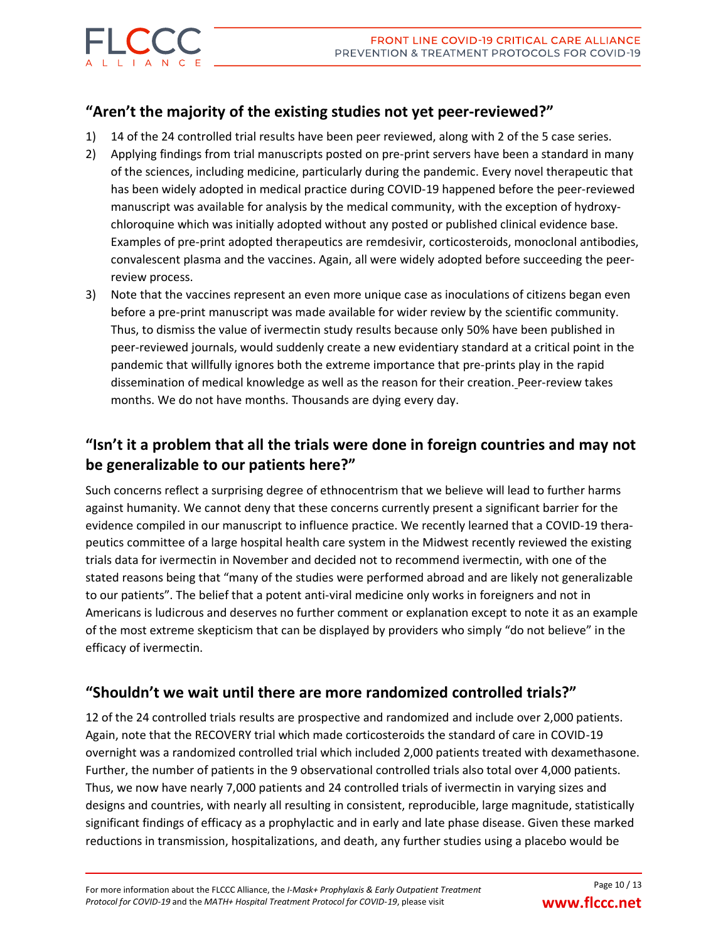

### **"Aren't the majority of the existing studies not yet peer-reviewed?"**

- 1) 14 of the 24 controlled trial results have been peer reviewed, along with 2 of the 5 case series.
- 2) Applying findings from trial manuscripts posted on pre-print servers have been a standard in many of the sciences, including medicine, particularly during the pandemic. Every novel therapeutic that has been widely adopted in medical practice during COVID-19 happened before the peer-reviewed manuscript was available for analysis by the medical community, with the exception of hydroxychloroquine which was initially adopted without any posted or published clinical evidence base. Examples of pre-print adopted therapeutics are remdesivir, corticosteroids, monoclonal antibodies, convalescent plasma and the vaccines. Again, all were widely adopted before succeeding the peerreview process.
- 3) Note that the vaccines represent an even more unique case as inoculations of citizens began even before a pre-print manuscript was made available for wider review by the scientific community. Thus, to dismiss the value of ivermectin study results because only 50% have been published in peer-reviewed journals, would suddenly create a new evidentiary standard at a critical point in the pandemic that willfully ignores both the extreme importance that pre-prints play in the rapid dissemination of medical knowledge as well as the reason for their creation. Peer-review takes months. We do not have months. Thousands are dying every day.

## **"Isn't it a problem that all the trials were done in foreign countries and may not be generalizable to our patients here?"**

Such concerns reflect a surprising degree of ethnocentrism that we believe will lead to further harms against humanity. We cannot deny that these concerns currently present a significant barrier for the evidence compiled in our manuscript to influence practice. We recently learned that a COVID-19 therapeutics committee of a large hospital health care system in the Midwest recently reviewed the existing trials data for ivermectin in November and decided not to recommend ivermectin, with one of the stated reasons being that "many of the studies were performed abroad and are likely not generalizable to our patients". The belief that a potent anti-viral medicine only works in foreigners and not in Americans is ludicrous and deserves no further comment or explanation except to note it as an example of the most extreme skepticism that can be displayed by providers who simply "do not believe" in the efficacy of ivermectin.

### **"Shouldn't we wait until there are more randomized controlled trials?"**

12 of the 24 controlled trials results are prospective and randomized and include over 2,000 patients. Again, note that the RECOVERY trial which made corticosteroids the standard of care in COVID-19 overnight was a randomized controlled trial which included 2,000 patients treated with dexamethasone. Further, the number of patients in the 9 observational controlled trials also total over 4,000 patients. Thus, we now have nearly 7,000 patients and 24 controlled trials of ivermectin in varying sizes and designs and countries, with nearly all resulting in consistent, reproducible, large magnitude, statistically significant findings of efficacy as a prophylactic and in early and late phase disease. Given these marked reductions in transmission, hospitalizations, and death, any further studies using a placebo would be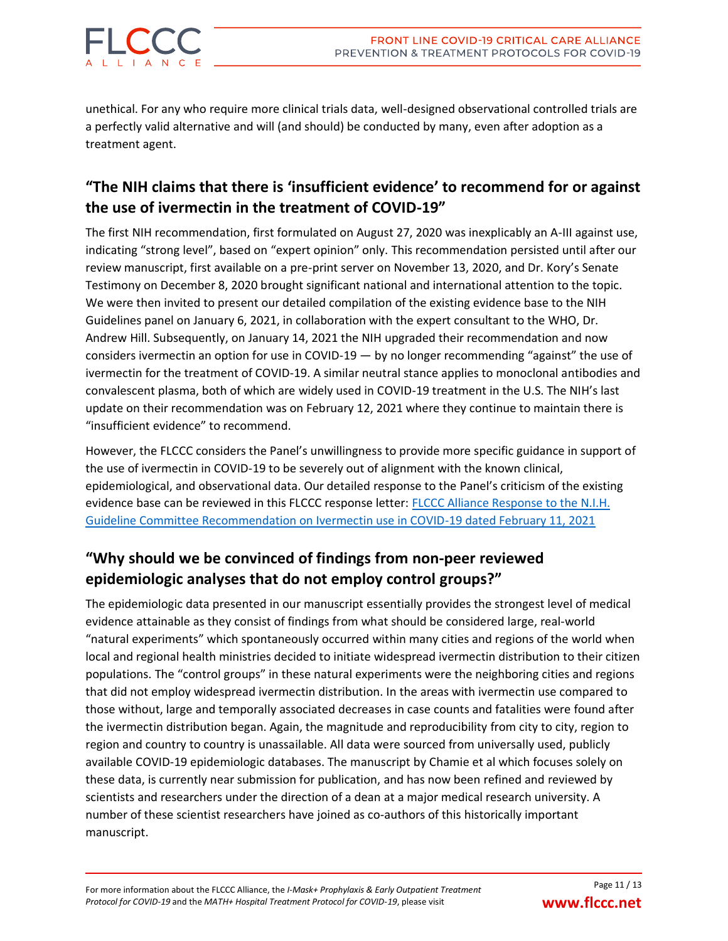

unethical. For any who require more clinical trials data, well-designed observational controlled trials are a perfectly valid alternative and will (and should) be conducted by many, even after adoption as a treatment agent.

# **"The NIH claims that there is 'insufficient evidence' to recommend for or against the use of ivermectin in the treatment of COVID-19"**

The first NIH recommendation, first formulated on August 27, 2020 was inexplicably an A-III against use, indicating "strong level", based on "expert opinion" only. This recommendation persisted until after our review manuscript, first available on a pre-print server on November 13, 2020, and Dr. Kory's Senate Testimony on December 8, 2020 brought significant national and international attention to the topic. We were then invited to present our detailed compilation of the existing evidence base to the NIH Guidelines panel on January 6, 2021, in collaboration with the expert consultant to the WHO, Dr. Andrew Hill. Subsequently, on January 14, 2021 the NIH upgraded their recommendation and now considers ivermectin an option for use in COVID-19 — by no longer recommending "against" the use of ivermectin for the treatment of COVID-19. A similar neutral stance applies to monoclonal antibodies and convalescent plasma, both of which are widely used in COVID-19 treatment in the U.S. The NIH's last update on their recommendation was on February 12, 2021 where they continue to maintain there is "insufficient evidence" to recommend.

However, the FLCCC considers the Panel's unwillingness to provide more specific guidance in support of the use of ivermectin in COVID-19 to be severely out of alignment with the known clinical, epidemiological, and observational data. Our detailed response to the Panel's criticism of the existing evidence base can be reviewed in this FLCCC response letter: [FLCCC Alliance Response to the N.I.H.](https://covid19criticalcare.com/flccc-alliance-response-to-the-nih-guideline-committee-recommendation-on-ivermectin-use-in-covid-2-28-21/)  [Guideline Committee Recommendation on Ivermectin use in COVID-19 dated February 11, 2021](https://covid19criticalcare.com/flccc-alliance-response-to-the-nih-guideline-committee-recommendation-on-ivermectin-use-in-covid-2-28-21/)

# **"Why should we be convinced of findings from non-peer reviewed epidemiologic analyses that do not employ control groups?"**

The epidemiologic data presented in our manuscript essentially provides the strongest level of medical evidence attainable as they consist of findings from what should be considered large, real-world "natural experiments" which spontaneously occurred within many cities and regions of the world when local and regional health ministries decided to initiate widespread ivermectin distribution to their citizen populations. The "control groups" in these natural experiments were the neighboring cities and regions that did not employ widespread ivermectin distribution. In the areas with ivermectin use compared to those without, large and temporally associated decreases in case counts and fatalities were found after the ivermectin distribution began. Again, the magnitude and reproducibility from city to city, region to region and country to country is unassailable. All data were sourced from universally used, publicly available COVID-19 epidemiologic databases. The manuscript by Chamie et al which focuses solely on these data, is currently near submission for publication, and has now been refined and reviewed by scientists and researchers under the direction of a dean at a major medical research university. A number of these scientist researchers have joined as co-authors of this historically important manuscript.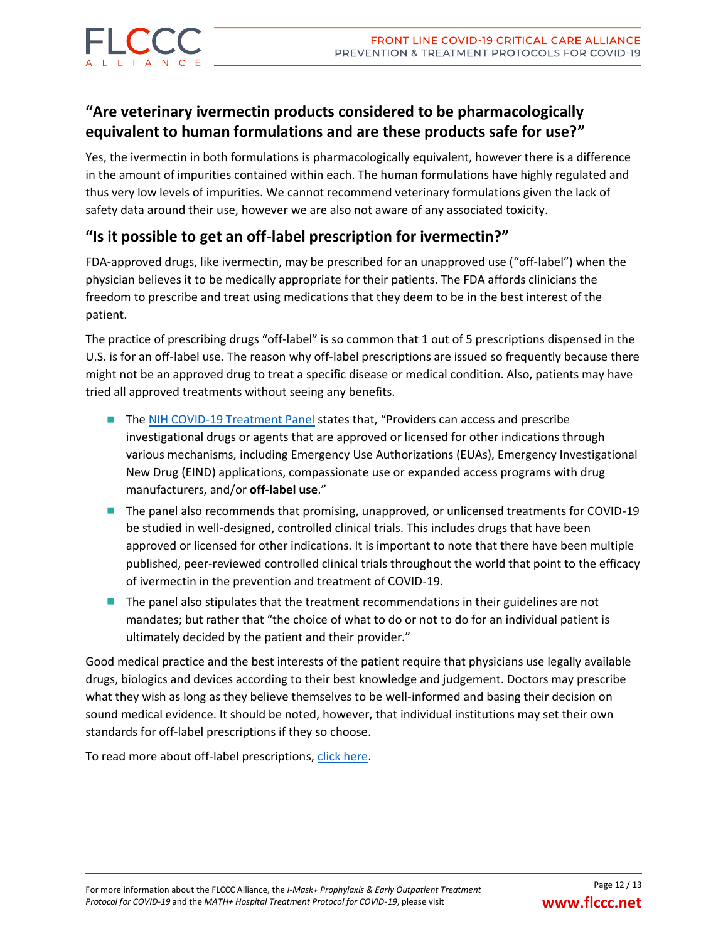# **"Are veterinary ivermectin products considered to be pharmacologically equivalent to human formulations and are these products safe for use?"**

Yes, the ivermectin in both formulations is pharmacologically equivalent, however there is a difference in the amount of impurities contained within each. The human formulations have highly regulated and thus very low levels of impurities. We cannot recommend veterinary formulations given the lack of safety data around their use, however we are also not aware of any associated toxicity.

### **"Is it possible to get an off-label prescription for ivermectin?"**

FDA-approved drugs, like ivermectin, may be prescribed for an unapproved use ("off-label") when the physician believes it to be medically appropriate for their patients. The FDA affords clinicians the freedom to prescribe and treat using medications that they deem to be in the best interest of the patient.

The practice of prescribing drugs "off-label" is so common that 1 out of 5 prescriptions dispensed in the U.S. is for an off-label use. The reason why off-label prescriptions are issued so frequently because there might not be an approved drug to treat a specific disease or medical condition. Also, patients may have tried all approved treatments without seeing any benefits.

- The [NIH COVID-19 Treatment Panel](https://www.covid19treatmentguidelines.nih.gov/introduction/) states that, "Providers can access and prescribe investigational drugs or agents that are approved or licensed for other indications through various mechanisms, including Emergency Use Authorizations (EUAs), Emergency Investigational New Drug (EIND) applications, compassionate use or expanded access programs with drug manufacturers, and/or **off-label use**."
- The panel also recommends that promising, unapproved, or unlicensed treatments for COVID-19 be studied in well-designed, controlled clinical trials. This includes drugs that have been approved or licensed for other indications. It is important to note that there have been multiple published, peer-reviewed controlled clinical trials throughout the world that point to the efficacy of ivermectin in the prevention and treatment of COVID-19.
- **The panel also stipulates that the treatment recommendations in their guidelines are not** mandates; but rather that "the choice of what to do or not to do for an individual patient is ultimately decided by the patient and their provider."

Good medical practice and the best interests of the patient require that physicians use legally available drugs, biologics and devices according to their best knowledge and judgement. Doctors may prescribe what they wish as long as they believe themselves to be well-informed and basing their decision on sound medical evidence. It should be noted, however, that individual institutions may set their own standards for off-label prescriptions if they so choose.

To read more about off-label prescriptions, [click here.](https://www.fda.gov/patients/learn-about-expanded-access-and-other-treatment-options/understanding-unapproved-use-approved-drugs-label)